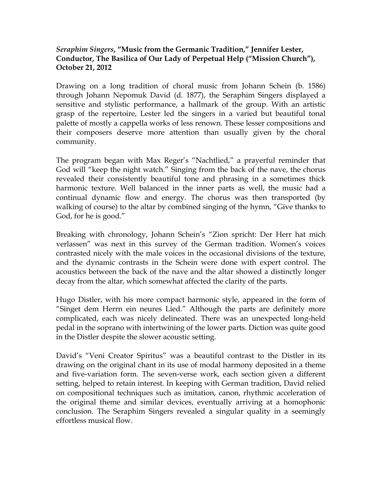## *Seraphim Singers***, "Music from the Germanic Tradition," Jennifer Lester, Conductor, The Basilica of Our Lady of Perpetual Help ("Mission Church"), October 21, 2012**

Drawing on a long tradition of choral music from Johann Schein (b. 1586) through Johann Nepomuk David (d. 1877), the Seraphim Singers displayed a sensitive and stylistic performance, a hallmark of the group. With an artistic grasp of the repertoire, Lester led the singers in a varied but beautiful tonal palette of mostly a cappella works of less renown. These lesser compositions and their composers deserve more attention than usually given by the choral community.

The program began with Max Reger's "Nachtlied," a prayerful reminder that God will "keep the night watch." Singing from the back of the nave, the chorus revealed their consistently beautiful tone and phrasing in a sometimes thick harmonic texture. Well balanced in the inner parts as well, the music had a continual dynamic flow and energy. The chorus was then transported (by walking of course) to the altar by combined singing of the hymn, "Give thanks to God, for he is good."

Breaking with chronology, Johann Schein's "Zion spricht: Der Herr hat mich verlassen" was next in this survey of the German tradition. Women's voices contrasted nicely with the male voices in the occasional divisions of the texture, and the dynamic contrasts in the Schein were done with expert control. The acoustics between the back of the nave and the altar showed a distinctly longer decay from the altar, which somewhat affected the clarity of the parts.

Hugo Distler, with his more compact harmonic style, appeared in the form of "Singet dem Herrn ein neures Lied." Although the parts are definitely more complicated, each was nicely delineated. There was an unexpected long-held pedal in the soprano with intertwining of the lower parts. Diction was quite good in the Distler despite the slower acoustic setting.

David's "Veni Creator Spiritus" was a beautiful contrast to the Distler in its drawing on the original chant in its use of modal harmony deposited in a theme and five-variation form. The seven-verse work, each section given a different setting, helped to retain interest. In keeping with German tradition, David relied on compositional techniques such as imitation, canon, rhythmic acceleration of the original theme and similar devices, eventually arriving at a homophonic conclusion. The Seraphim Singers revealed a singular quality in a seemingly effortless musical flow.